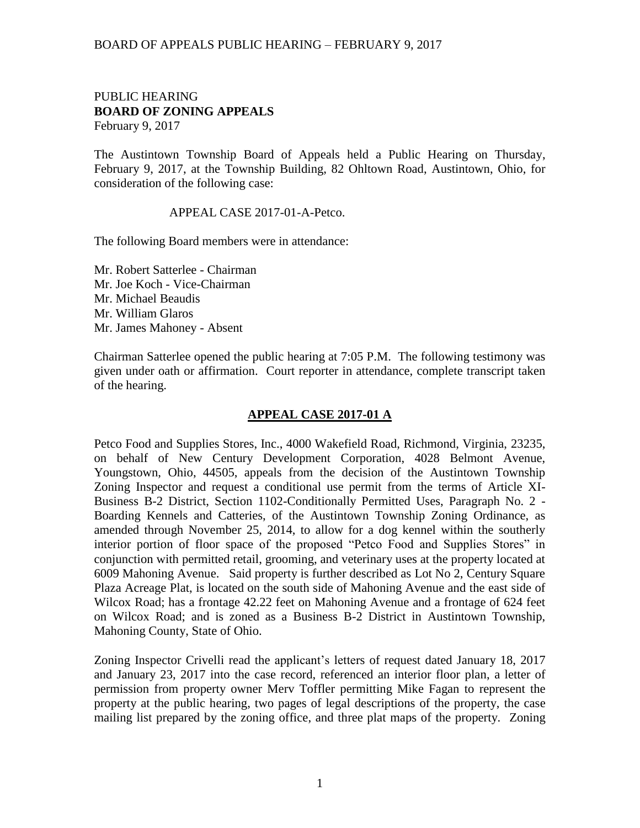### BOARD OF APPEALS PUBLIC HEARING – FEBRUARY 9, 2017

## PUBLIC HEARING **BOARD OF ZONING APPEALS**  February 9, 2017

The Austintown Township Board of Appeals held a Public Hearing on Thursday, February 9, 2017, at the Township Building, 82 Ohltown Road, Austintown, Ohio, for consideration of the following case:

#### APPEAL CASE 2017-01-A-Petco.

The following Board members were in attendance:

Mr. Robert Satterlee - Chairman Mr. Joe Koch - Vice-Chairman Mr. Michael Beaudis Mr. William Glaros Mr. James Mahoney - Absent

Chairman Satterlee opened the public hearing at 7:05 P.M. The following testimony was given under oath or affirmation. Court reporter in attendance, complete transcript taken of the hearing.

### **APPEAL CASE 2017-01 A**

Petco Food and Supplies Stores, Inc., 4000 Wakefield Road, Richmond, Virginia, 23235, on behalf of New Century Development Corporation, 4028 Belmont Avenue, Youngstown, Ohio, 44505, appeals from the decision of the Austintown Township Zoning Inspector and request a conditional use permit from the terms of Article XI-Business B-2 District, Section 1102-Conditionally Permitted Uses, Paragraph No. 2 - Boarding Kennels and Catteries, of the Austintown Township Zoning Ordinance, as amended through November 25, 2014, to allow for a dog kennel within the southerly interior portion of floor space of the proposed "Petco Food and Supplies Stores" in conjunction with permitted retail, grooming, and veterinary uses at the property located at 6009 Mahoning Avenue. Said property is further described as Lot No 2, Century Square Plaza Acreage Plat, is located on the south side of Mahoning Avenue and the east side of Wilcox Road; has a frontage 42.22 feet on Mahoning Avenue and a frontage of 624 feet on Wilcox Road; and is zoned as a Business B-2 District in Austintown Township, Mahoning County, State of Ohio.

Zoning Inspector Crivelli read the applicant's letters of request dated January 18, 2017 and January 23, 2017 into the case record, referenced an interior floor plan, a letter of permission from property owner Merv Toffler permitting Mike Fagan to represent the property at the public hearing, two pages of legal descriptions of the property, the case mailing list prepared by the zoning office, and three plat maps of the property. Zoning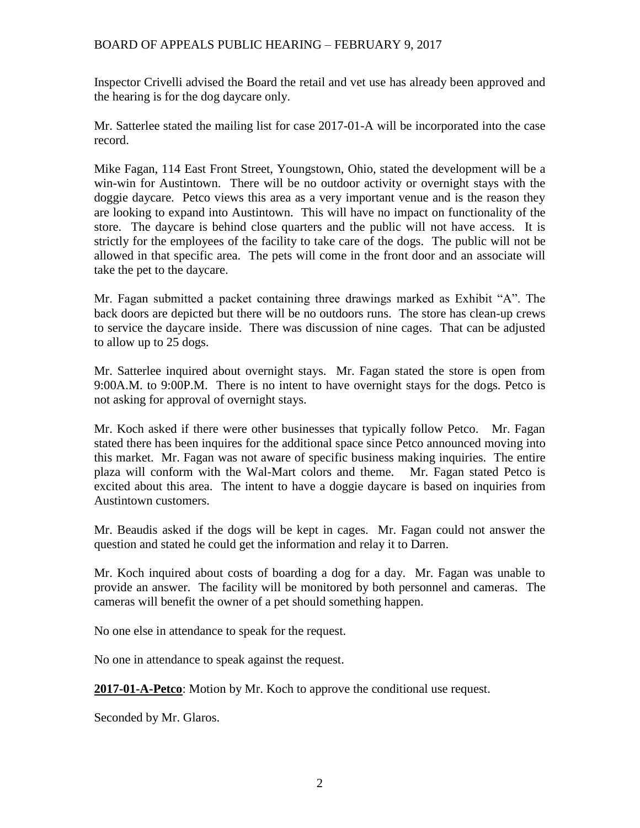# BOARD OF APPEALS PUBLIC HEARING – FEBRUARY 9, 2017

Inspector Crivelli advised the Board the retail and vet use has already been approved and the hearing is for the dog daycare only.

Mr. Satterlee stated the mailing list for case 2017-01-A will be incorporated into the case record.

Mike Fagan, 114 East Front Street, Youngstown, Ohio, stated the development will be a win-win for Austintown. There will be no outdoor activity or overnight stays with the doggie daycare. Petco views this area as a very important venue and is the reason they are looking to expand into Austintown. This will have no impact on functionality of the store. The daycare is behind close quarters and the public will not have access. It is strictly for the employees of the facility to take care of the dogs. The public will not be allowed in that specific area. The pets will come in the front door and an associate will take the pet to the daycare.

Mr. Fagan submitted a packet containing three drawings marked as Exhibit "A". The back doors are depicted but there will be no outdoors runs. The store has clean-up crews to service the daycare inside. There was discussion of nine cages. That can be adjusted to allow up to 25 dogs.

Mr. Satterlee inquired about overnight stays. Mr. Fagan stated the store is open from 9:00A.M. to 9:00P.M. There is no intent to have overnight stays for the dogs. Petco is not asking for approval of overnight stays.

Mr. Koch asked if there were other businesses that typically follow Petco. Mr. Fagan stated there has been inquires for the additional space since Petco announced moving into this market. Mr. Fagan was not aware of specific business making inquiries. The entire plaza will conform with the Wal-Mart colors and theme. Mr. Fagan stated Petco is excited about this area. The intent to have a doggie daycare is based on inquiries from Austintown customers.

Mr. Beaudis asked if the dogs will be kept in cages. Mr. Fagan could not answer the question and stated he could get the information and relay it to Darren.

Mr. Koch inquired about costs of boarding a dog for a day. Mr. Fagan was unable to provide an answer. The facility will be monitored by both personnel and cameras. The cameras will benefit the owner of a pet should something happen.

No one else in attendance to speak for the request.

No one in attendance to speak against the request.

**2017-01-A-Petco**: Motion by Mr. Koch to approve the conditional use request.

Seconded by Mr. Glaros.